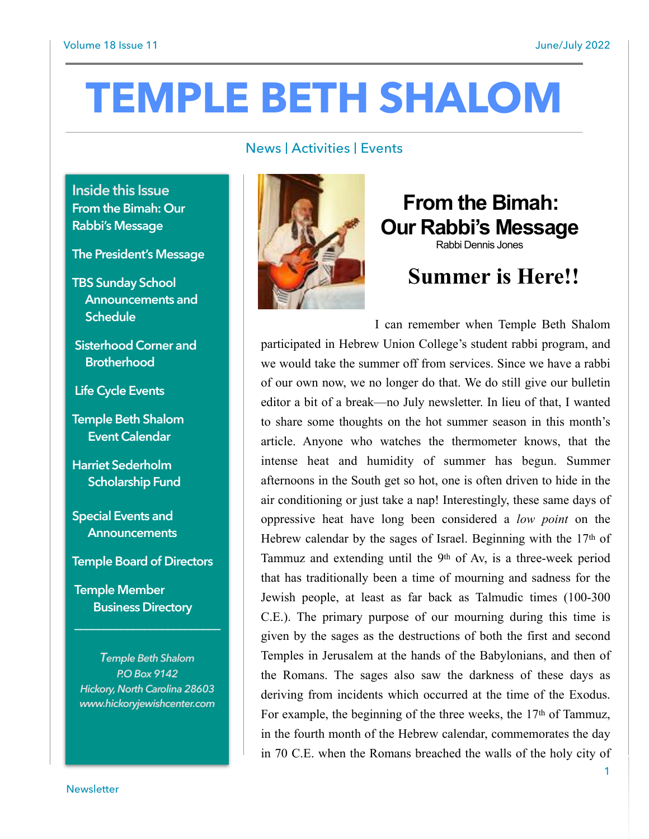# **TEMPLE BETH SHALOM**

#### News | Activities | Events

**Inside this Issue From the Bimah: Our Rabbi's Message**

**The President's Message**

**TBS Sunday School Announcements and Schedule**

 **Sisterhood Corner and Brotherhood**

 **Life Cycle Events** 

**Temple Beth Shalom Event Calendar** 

**Harriet Sederholm Scholarship Fund**

**Special Events and Announcements** 

**Temple Board of Directors**

 **Temple Member Business Directory**

*Temple Beth Shalom P.O Box 9142 Hickory, North Carolina 28603 www.hickoryjewishcenter.com*

**\_\_\_\_\_\_\_\_\_\_\_\_\_\_\_\_\_\_\_\_\_\_\_\_\_**



**From the Bimah: Our Rabbi's Message** Rabbi Dennis Jones

# **Summer is Here!!**

I can remember when Temple Beth Shalom participated in Hebrew Union College's student rabbi program, and we would take the summer off from services. Since we have a rabbi of our own now, we no longer do that. We do still give our bulletin editor a bit of a break—no July newsletter. In lieu of that, I wanted to share some thoughts on the hot summer season in this month's article. Anyone who watches the thermometer knows, that the intense heat and humidity of summer has begun. Summer afternoons in the South get so hot, one is often driven to hide in the air conditioning or just take a nap! Interestingly, these same days of oppressive heat have long been considered a *low point* on the Hebrew calendar by the sages of Israel. Beginning with the 17th of Tammuz and extending until the 9th of Av, is a three-week period that has traditionally been a time of mourning and sadness for the Jewish people, at least as far back as Talmudic times (100-300 C.E.). The primary purpose of our mourning during this time is given by the sages as the destructions of both the first and second Temples in Jerusalem at the hands of the Babylonians, and then of the Romans. The sages also saw the darkness of these days as deriving from incidents which occurred at the time of the Exodus. For example, the beginning of the three weeks, the 17<sup>th</sup> of Tammuz, in the fourth month of the Hebrew calendar, commemorates the day in 70 C.E. when the Romans breached the walls of the holy city of

**Newsletter**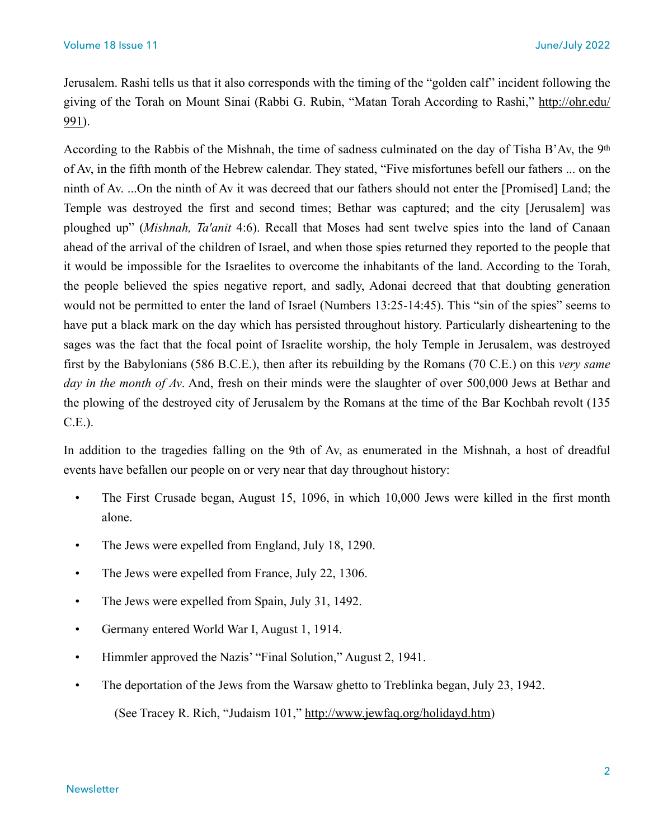Jerusalem. Rashi tells us that it also corresponds with the timing of the "golden calf" incident following the giving of the Torah on Mount Sinai (Rabbi G. Rubin, "Matan Torah According to Rashi," [http://ohr.edu/](http://ohr.edu/991) [991](http://ohr.edu/991)).

According to the Rabbis of the Mishnah, the time of sadness culminated on the day of Tisha B'Av, the 9th of Av, in the fifth month of the Hebrew calendar. They stated, "Five misfortunes befell our fathers ... on the ninth of Av. ...On the ninth of Av it was decreed that our fathers should not enter the [Promised] Land; the Temple was destroyed the first and second times; Bethar was captured; and the city [Jerusalem] was ploughed up" (*Mishnah, Ta'anit* 4:6). Recall that Moses had sent twelve spies into the land of Canaan ahead of the arrival of the children of Israel, and when those spies returned they reported to the people that it would be impossible for the Israelites to overcome the inhabitants of the land. According to the Torah, the people believed the spies negative report, and sadly, Adonai decreed that that doubting generation would not be permitted to enter the land of Israel (Numbers 13:25-14:45). This "sin of the spies" seems to have put a black mark on the day which has persisted throughout history. Particularly disheartening to the sages was the fact that the focal point of Israelite worship, the holy Temple in Jerusalem, was destroyed first by the Babylonians (586 B.C.E.), then after its rebuilding by the Romans (70 C.E.) on this *very same day in the month of Av*. And, fresh on their minds were the slaughter of over 500,000 Jews at Bethar and the plowing of the destroyed city of Jerusalem by the Romans at the time of the Bar Kochbah revolt (135 C.E.).

In addition to the tragedies falling on the 9th of Av, as enumerated in the Mishnah, a host of dreadful events have befallen our people on or very near that day throughout history:

- The First Crusade began, August 15, 1096, in which 10,000 Jews were killed in the first month alone.
- The Jews were expelled from England, July 18, 1290.
- The Jews were expelled from France, July 22, 1306.
- The Jews were expelled from Spain, July 31, 1492.
- Germany entered World War I, August 1, 1914.
- Himmler approved the Nazis' "Final Solution," August 2, 1941.
- The deportation of the Jews from the Warsaw ghetto to Treblinka began, July 23, 1942. (See Tracey R. Rich, "Judaism 101," [http://www.jewfaq.org/holidayd.htm\)](http://www.jewfaq.org/holidayd.htm)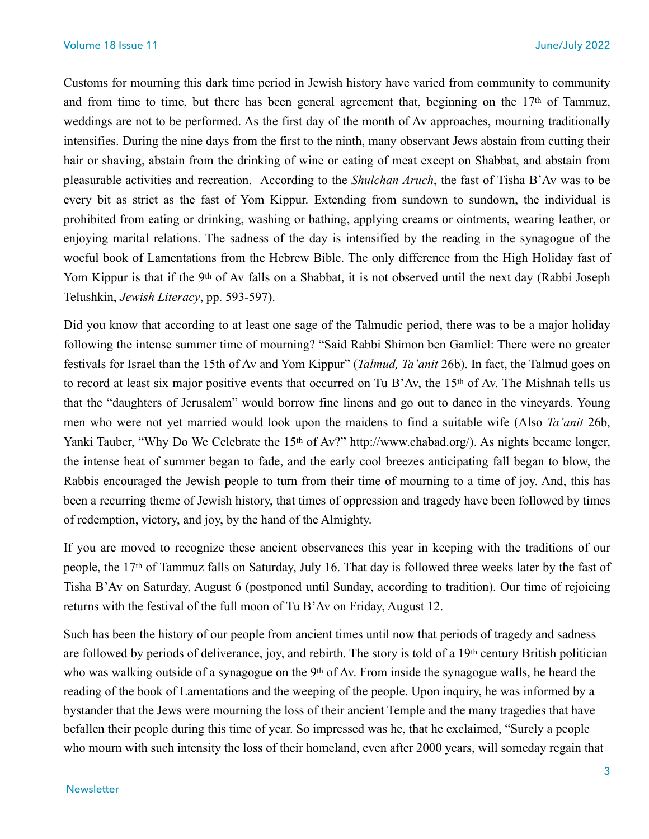Customs for mourning this dark time period in Jewish history have varied from community to community and from time to time, but there has been general agreement that, beginning on the 17<sup>th</sup> of Tammuz, weddings are not to be performed. As the first day of the month of Av approaches, mourning traditionally intensifies. During the nine days from the first to the ninth, many observant Jews abstain from cutting their hair or shaving, abstain from the drinking of wine or eating of meat except on Shabbat, and abstain from pleasurable activities and recreation. According to the *Shulchan Aruch*, the fast of Tisha B'Av was to be every bit as strict as the fast of Yom Kippur. Extending from sundown to sundown, the individual is prohibited from eating or drinking, washing or bathing, applying creams or ointments, wearing leather, or enjoying marital relations. The sadness of the day is intensified by the reading in the synagogue of the woeful book of Lamentations from the Hebrew Bible. The only difference from the High Holiday fast of Yom Kippur is that if the 9<sup>th</sup> of Av falls on a Shabbat, it is not observed until the next day (Rabbi Joseph Telushkin, *Jewish Literacy*, pp. 593-597).

Did you know that according to at least one sage of the Talmudic period, there was to be a major holiday following the intense summer time of mourning? "Said Rabbi Shimon ben Gamliel: There were no greater festivals for Israel than the 15th of Av and Yom Kippur" (*Talmud, Ta'anit* 26b). In fact, the Talmud goes on to record at least six major positive events that occurred on Tu B'Av, the 15th of Av. The Mishnah tells us that the "daughters of Jerusalem" would borrow fine linens and go out to dance in the vineyards. Young men who were not yet married would look upon the maidens to find a suitable wife (Also *Ta'anit* 26b, Yanki Tauber, "Why Do We Celebrate the 15<sup>th</sup> of Av?" http://www.chabad.org/). As nights became longer, the intense heat of summer began to fade, and the early cool breezes anticipating fall began to blow, the Rabbis encouraged the Jewish people to turn from their time of mourning to a time of joy. And, this has been a recurring theme of Jewish history, that times of oppression and tragedy have been followed by times of redemption, victory, and joy, by the hand of the Almighty.

If you are moved to recognize these ancient observances this year in keeping with the traditions of our people, the 17th of Tammuz falls on Saturday, July 16. That day is followed three weeks later by the fast of Tisha B'Av on Saturday, August 6 (postponed until Sunday, according to tradition). Our time of rejoicing returns with the festival of the full moon of Tu B'Av on Friday, August 12.

Such has been the history of our people from ancient times until now that periods of tragedy and sadness are followed by periods of deliverance, joy, and rebirth. The story is told of a 19th century British politician who was walking outside of a synagogue on the 9<sup>th</sup> of Av. From inside the synagogue walls, he heard the reading of the book of Lamentations and the weeping of the people. Upon inquiry, he was informed by a bystander that the Jews were mourning the loss of their ancient Temple and the many tragedies that have befallen their people during this time of year. So impressed was he, that he exclaimed, "Surely a people who mourn with such intensity the loss of their homeland, even after 2000 years, will someday regain that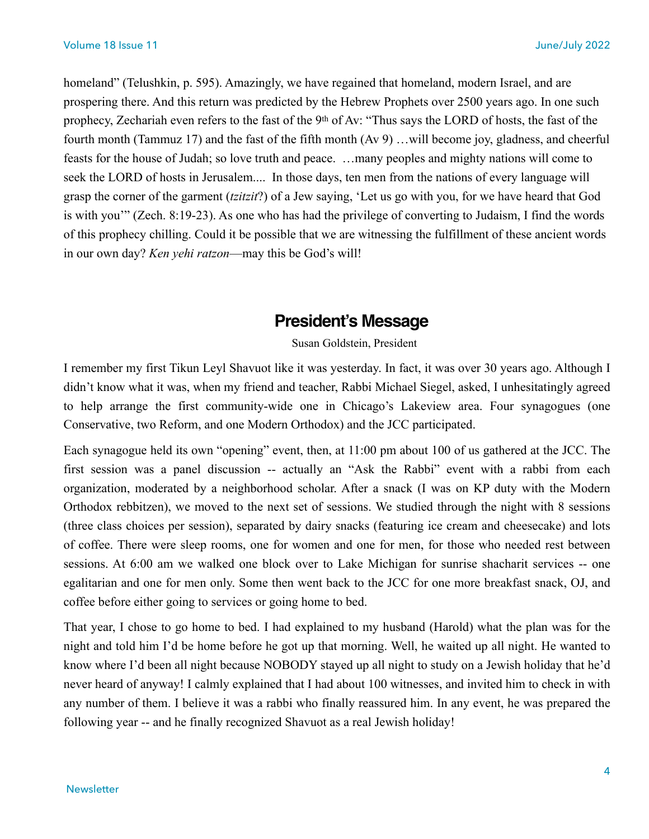homeland" (Telushkin, p. 595). Amazingly, we have regained that homeland, modern Israel, and are prospering there. And this return was predicted by the Hebrew Prophets over 2500 years ago. In one such prophecy, Zechariah even refers to the fast of the 9<sup>th</sup> of Av: "Thus says the LORD of hosts, the fast of the fourth month (Tammuz 17) and the fast of the fifth month (Av 9) …will become joy, gladness, and cheerful feasts for the house of Judah; so love truth and peace. …many peoples and mighty nations will come to seek the LORD of hosts in Jerusalem.... In those days, ten men from the nations of every language will grasp the corner of the garment (*tzitzit*?) of a Jew saying, 'Let us go with you, for we have heard that God is with you'" (Zech. 8:19-23). As one who has had the privilege of converting to Judaism, I find the words of this prophecy chilling. Could it be possible that we are witnessing the fulfillment of these ancient words in our own day? *Ken yehi ratzon*—may this be God's will!

#### **President's Message**

Susan Goldstein, President

I remember my first Tikun Leyl Shavuot like it was yesterday. In fact, it was over 30 years ago. Although I didn't know what it was, when my friend and teacher, Rabbi Michael Siegel, asked, I unhesitatingly agreed to help arrange the first community-wide one in Chicago's Lakeview area. Four synagogues (one Conservative, two Reform, and one Modern Orthodox) and the JCC participated.

Each synagogue held its own "opening" event, then, at 11:00 pm about 100 of us gathered at the JCC. The first session was a panel discussion -- actually an "Ask the Rabbi" event with a rabbi from each organization, moderated by a neighborhood scholar. After a snack (I was on KP duty with the Modern Orthodox rebbitzen), we moved to the next set of sessions. We studied through the night with 8 sessions (three class choices per session), separated by dairy snacks (featuring ice cream and cheesecake) and lots of coffee. There were sleep rooms, one for women and one for men, for those who needed rest between sessions. At 6:00 am we walked one block over to Lake Michigan for sunrise shacharit services -- one egalitarian and one for men only. Some then went back to the JCC for one more breakfast snack, OJ, and coffee before either going to services or going home to bed.

That year, I chose to go home to bed. I had explained to my husband (Harold) what the plan was for the night and told him I'd be home before he got up that morning. Well, he waited up all night. He wanted to know where I'd been all night because NOBODY stayed up all night to study on a Jewish holiday that he'd never heard of anyway! I calmly explained that I had about 100 witnesses, and invited him to check in with any number of them. I believe it was a rabbi who finally reassured him. In any event, he was prepared the following year -- and he finally recognized Shavuot as a real Jewish holiday!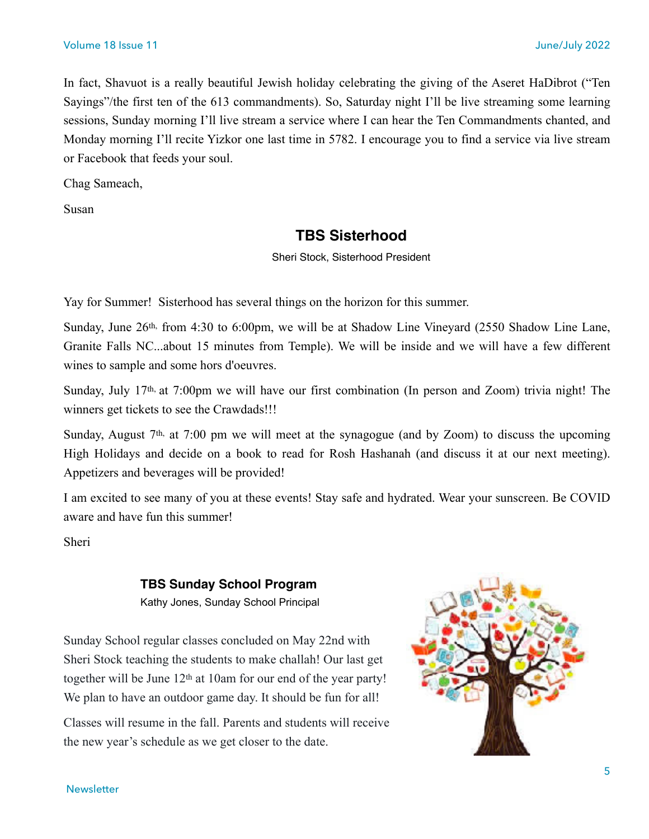In fact, Shavuot is a really beautiful Jewish holiday celebrating the giving of the Aseret HaDibrot ("Ten Sayings"/the first ten of the 613 commandments). So, Saturday night I'll be live streaming some learning sessions, Sunday morning I'll live stream a service where I can hear the Ten Commandments chanted, and Monday morning I'll recite Yizkor one last time in 5782. I encourage you to find a service via live stream or Facebook that feeds your soul.

Chag Sameach,

Susan

#### **TBS Sisterhood**

Sheri Stock, Sisterhood President

Yay for Summer! Sisterhood has several things on the horizon for this summer.

Sunday, June 26th, from 4:30 to 6:00pm, we will be at Shadow Line Vineyard (2550 Shadow Line Lane, Granite Falls NC...about 15 minutes from Temple). We will be inside and we will have a few different wines to sample and some hors d'oeuvres.

Sunday, July 17<sup>th,</sup> at 7:00pm we will have our first combination (In person and Zoom) trivia night! The winners get tickets to see the Crawdads!!!

Sunday, August 7<sup>th,</sup> at 7:00 pm we will meet at the synagogue (and by Zoom) to discuss the upcoming High Holidays and decide on a book to read for Rosh Hashanah (and discuss it at our next meeting). Appetizers and beverages will be provided!

I am excited to see many of you at these events! Stay safe and hydrated. Wear your sunscreen. Be COVID aware and have fun this summer!

Sheri

#### **TBS Sunday School Program**

Kathy Jones, Sunday School Principal

Sunday School regular classes concluded on May 22nd with Sheri Stock teaching the students to make challah! Our last get together will be June 12th at 10am for our end of the year party! We plan to have an outdoor game day. It should be fun for all!

Classes will resume in the fall. Parents and students will receive the new year's schedule as we get closer to the date.

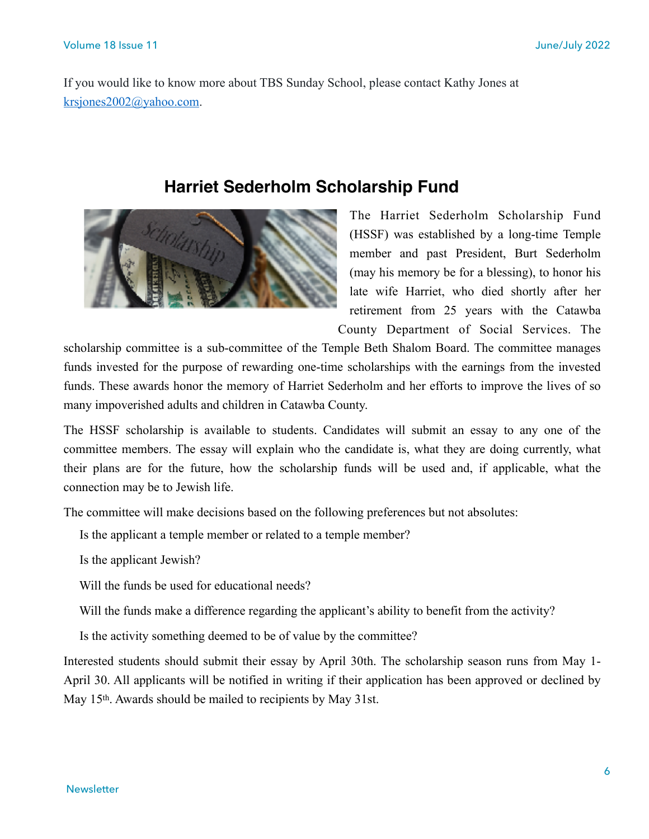If you would like to know more about TBS Sunday School, please contact Kathy Jones at [krsjones2002@yahoo.com](mailto:krsjones2002@yahoo.com).

#### **Harriet Sederholm Scholarship Fund**

The Harriet Sederholm Scholarship Fund (HSSF) was established by a long-time Temple member and past President, Burt Sederholm (may his memory be for a blessing), to honor his late wife Harriet, who died shortly after her retirement from 25 years with the Catawba County Department of Social Services. The

scholarship committee is a sub-committee of the Temple Beth Shalom Board. The committee manages funds invested for the purpose of rewarding one-time scholarships with the earnings from the invested funds. These awards honor the memory of Harriet Sederholm and her efforts to improve the lives of so many impoverished adults and children in Catawba County.

The HSSF scholarship is available to students. Candidates will submit an essay to any one of the committee members. The essay will explain who the candidate is, what they are doing currently, what their plans are for the future, how the scholarship funds will be used and, if applicable, what the connection may be to Jewish life.

The committee will make decisions based on the following preferences but not absolutes:

Is the applicant a temple member or related to a temple member?

Is the applicant Jewish?

Will the funds be used for educational needs?

Will the funds make a difference regarding the applicant's ability to benefit from the activity?

Is the activity something deemed to be of value by the committee?

Interested students should submit their essay by April 30th. The scholarship season runs from May 1- April 30. All applicants will be notified in writing if their application has been approved or declined by May 15<sup>th</sup>. Awards should be mailed to recipients by May 31st.

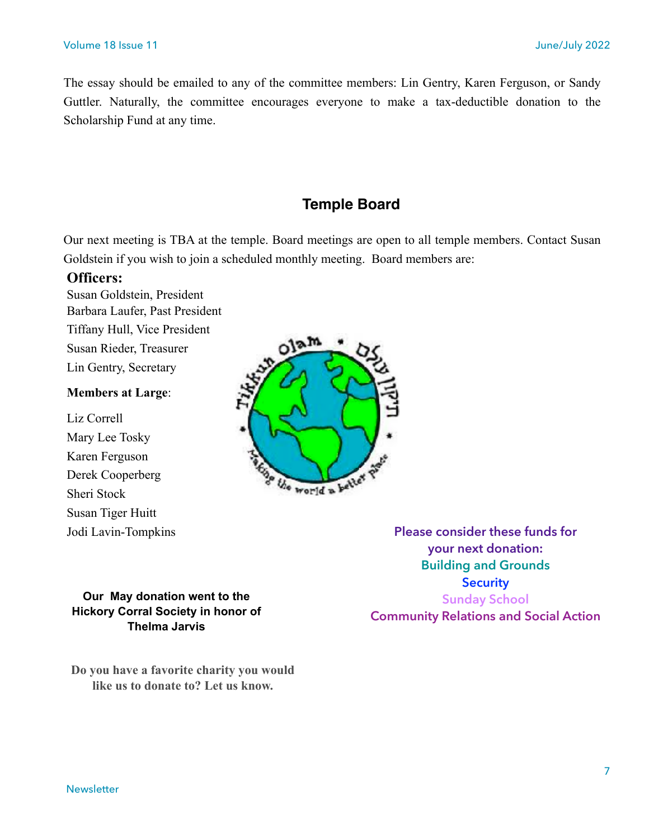The essay should be emailed to any of the committee members: Lin Gentry, Karen Ferguson, or Sandy Guttler. Naturally, the committee encourages everyone to make a tax-deductible donation to the Scholarship Fund at any time.

#### **Temple Board**

Our next meeting is TBA at the temple. Board meetings are open to all temple members. Contact Susan Goldstein if you wish to join a scheduled monthly meeting. Board members are:

#### **Officers:**

Susan Goldstein, President Barbara Laufer, Past President Tiffany Hull, Vice President Susan Rieder, Treasurer Lin Gentry, Secretary

#### **Members at Large**:

Liz Correll Mary Lee Tosky Karen Ferguson Derek Cooperberg Sheri Stock Susan Tiger Huitt Jodi Lavin-Tompkins



**Please consider these funds for your next donation: Building and Grounds Security Sunday School Community Relations and Social Action**

#### **Our May donation went to the Hickory Corral Society in honor of Thelma Jarvis**

**Do you have a favorite charity you would like us to donate to? Let us know.**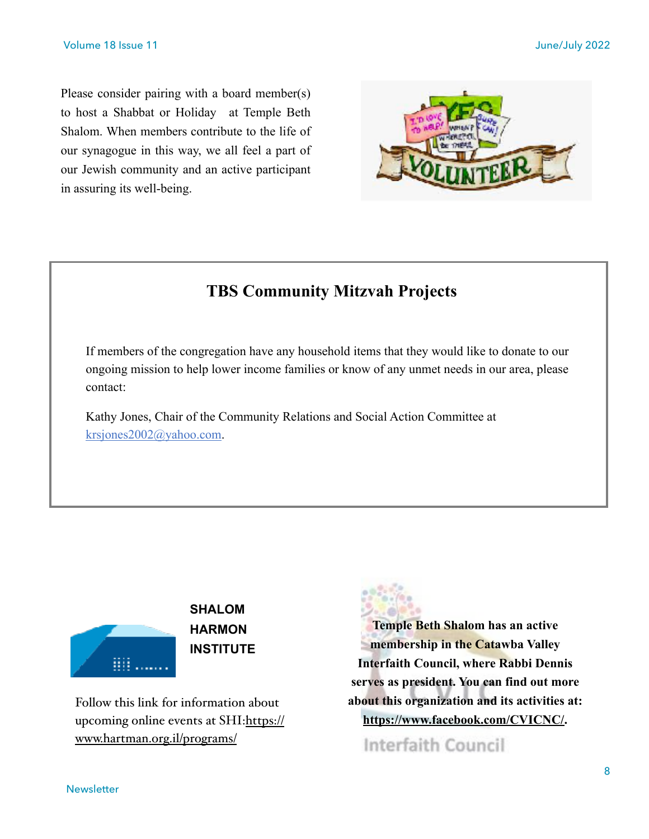Please consider pairing with a board member(s) to host a Shabbat or Holiday at Temple Beth Shalom. When members contribute to the life of our synagogue in this way, we all feel a part of our Jewish community and an active participant in assuring its well-being.



### **TBS Community Mitzvah Projects**

If members of the congregation have any household items that they would like to donate to our ongoing mission to help lower income families or know of any unmet needs in our area, please contact:

Kathy Jones, Chair of the Community Relations and Social Action Committee at krsjones2002@yahoo.com.



**SHALOM HARMON INSTITUTE**

Follow this link for information about upcoming online events at SHI:[https://](https://www.hartman.org.il/programs/) [www.hartman.org.il/programs/](https://www.hartman.org.il/programs/)



**Temple Beth Shalom has an active membership in the Catawba Valley Interfaith Council, where Rabbi Dennis serves as president. You can find out more about this organization and its activities at: <https://www.facebook.com/CVICNC/>.**

Interfaith Council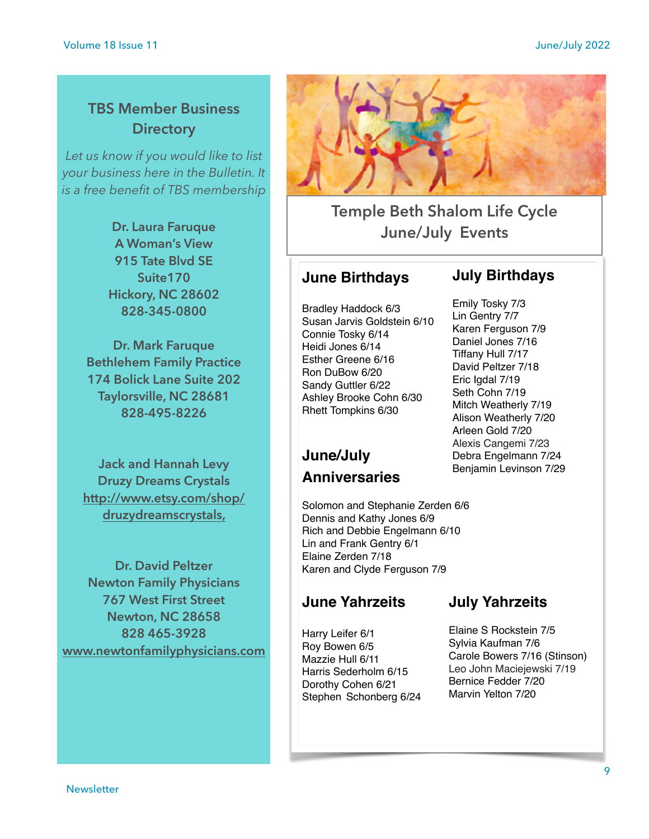#### **TBS Member Business Directory**

*Let us know if you would like to list your business here in the Bulletin. It is a free benefit of TBS membership*

> **Dr. Laura Faruque A Woman's View 915 Tate Blvd SE Suite170 Hickory, NC 28602 828-345-0800**

**Dr. Mark Faruque Bethlehem Family Practice 174 Bolick Lane Suite 202 Taylorsville, NC 28681 828-495-8226**

**Jack and Hannah Levy Druzy Dreams Crystals http://www.etsy.com/shop/ druzydreamscrystals,** 

**Dr. David Peltzer Newton Family Physicians 767 West First Street Newton, NC 28658 828 465-3928 [www.newtonfamilyphysicians.com](http://www.newtonfamilyphysicians.com)**



**Temple Beth Shalom Life Cycle June/July Events**

#### **June Birthdays**

Bradley Haddock 6/3 Susan Jarvis Goldstein 6/10 Connie Tosky 6/14 Heidi Jones 6/14 Esther Greene 6/16 Ron DuBow 6/20 Sandy Guttler 6/22 Ashley Brooke Cohn 6/30 Rhett Tompkins 6/30

#### **July Birthdays**

Emily Tosky 7/3 Lin Gentry 7/7 Karen Ferguson 7/9 Daniel Jones 7/16 Tiffany Hull 7/17 David Peltzer 7/18 Eric Igdal 7/19 Seth Cohn 7/19 Mitch Weatherly 7/19 Alison Weatherly 7/20 Arleen Gold 7/20 Alexis Cangemi 7/23 Debra Engelmann 7/24 Benjamin Levinson 7/29

#### **June/July Anniversaries**

Solomon and Stephanie Zerden 6/6 Dennis and Kathy Jones 6/9 Rich and Debbie Engelmann 6/10 Lin and Frank Gentry 6/1 Elaine Zerden 7/18 Karen and Clyde Ferguson 7/9

#### **June Yahrzeits**

Harry Leifer 6/1 Roy Bowen 6/5 Mazzie Hull 6/11 Harris Sederholm 6/15 Dorothy Cohen 6/21 Stephen Schonberg 6/24

### **July Yahrzeits**

Elaine S Rockstein 7/5 Sylvia Kaufman 7/6 Carole Bowers 7/16 (Stinson) Leo John Maciejewski 7/19 Bernice Fedder 7/20 Marvin Yelton 7/20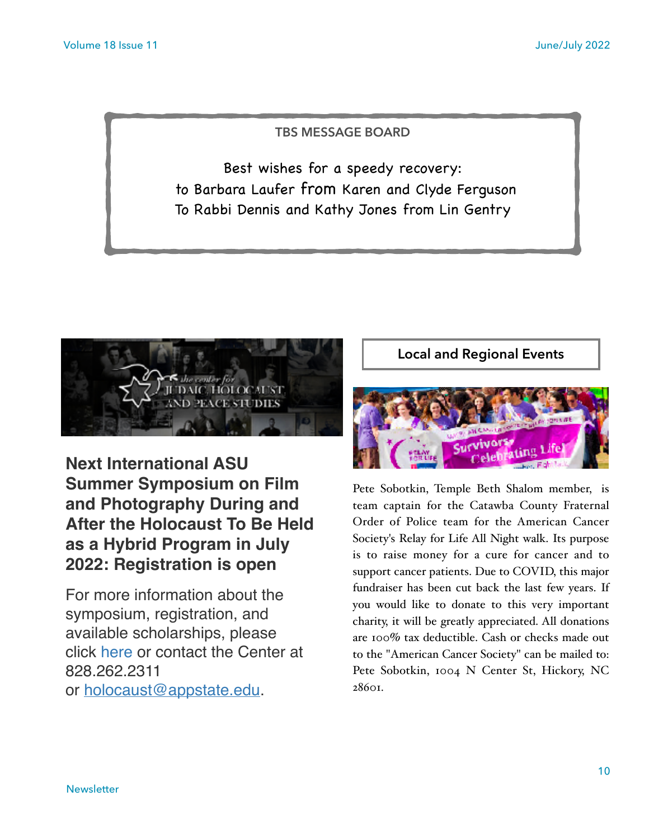#### **TBS MESSAGE BOARD**

Best wishes for a speedy recovery: to Barbara Laufer from Karen and Clyde Ferguson To Rabbi Dennis and Kathy Jones from Lin Gentry



**Next International ASU Summer Symposium on Film and Photography During and After the Holocaust To Be Held as a Hybrid Program in July 2022: Registration is open**

For more information about the symposium, registration, and available scholarships, please click [here](https://holocaust.appstate.edu/teachers) or contact the Center at 828.262.2311 or [holocaust@appstate.edu.](mailto:holocaust@appstate.edu)

**Local and Regional Events**



Pete Sobotkin, Temple Beth Shalom member, is team captain for the Catawba County Fraternal Order of Police team for the American Cancer Society's Relay for Life All Night walk. Its purpose is to raise money for a cure for cancer and to support cancer patients. Due to COVID, this major fundraiser has been cut back the last few years. If you would like to donate to this very important charity, it will be greatly appreciated. All donations are 100% tax deductible. Cash or checks made out to the "American Cancer Society" can be mailed to: Pete Sobotkin, 1004 N Center St, Hickory, NC 28601.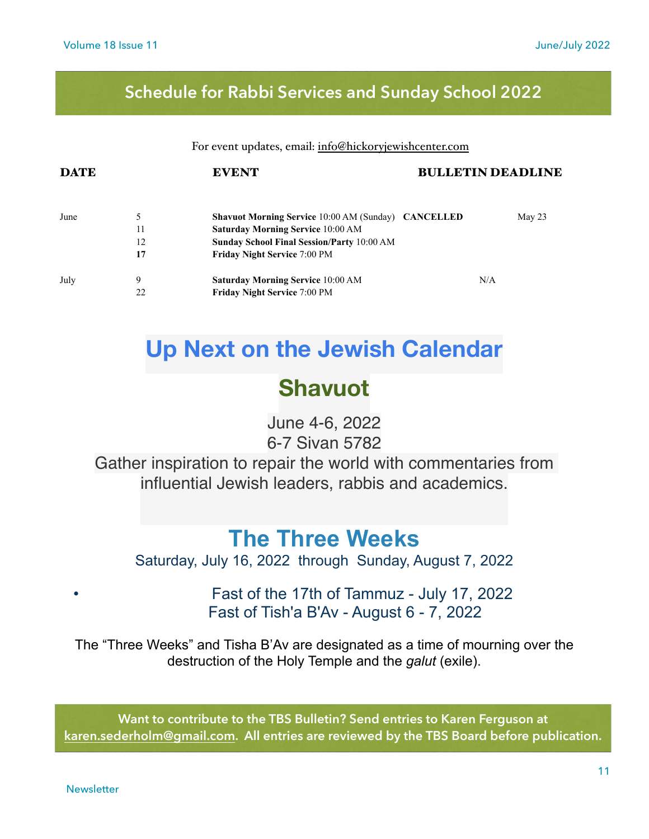## **Schedule for Rabbi Services and Sunday School 2022**

For event updates, email: [info@hickoryjewishcenter.com](mailto:info@hickoryjewishcenter.com)

| <b>DATE</b> |    | <b>EVENT</b><br>5<br><b>Shavuot Morning Service 10:00 AM (Sunday) CANCELLED</b> | <b>BULLETIN DEADLINE</b> |        |
|-------------|----|---------------------------------------------------------------------------------|--------------------------|--------|
| June        |    |                                                                                 |                          | May 23 |
|             | 11 | <b>Saturday Morning Service 10:00 AM</b>                                        |                          |        |
|             | 12 | <b>Sunday School Final Session/Party 10:00 AM</b>                               |                          |        |
|             | 17 | <b>Friday Night Service 7:00 PM</b>                                             |                          |        |
| July        | 9  | <b>Saturday Morning Service 10:00 AM</b>                                        | N/A                      |        |
|             | 22 | <b>Friday Night Service 7:00 PM</b>                                             |                          |        |

# **Up Next on the Jewish Calendar**

# **Shavuot**

June 4-6, 2022 6-7 Sivan 5782

Gather inspiration to repair the world with commentaries from influential Jewish leaders, rabbis and academics.

# **[The Three Weeks](https://www.chabad.org/article.asp?aid=144558)**

Saturday, July 16, 2022 through Sunday, August 7, 2022

• [Fast of the 17th of Tammuz - July 17, 2022](https://www.chabad.org/article.asp?aid=479885) [Fast of Tish'a B'Av - August 6 - 7, 2022](https://www.chabad.org/article.asp?aid=144575)

The "Three Weeks" and Tisha B'Av are designated as a time of mourning over the destruction of the Holy Temple and the *galut* (exile).

**Want to contribute to the TBS Bulletin? Send entries to Karen Ferguson at [karen.sederholm@gmail.com.](mailto:karen.sederholm@gmail.com) All entries are reviewed by the TBS Board before publication.**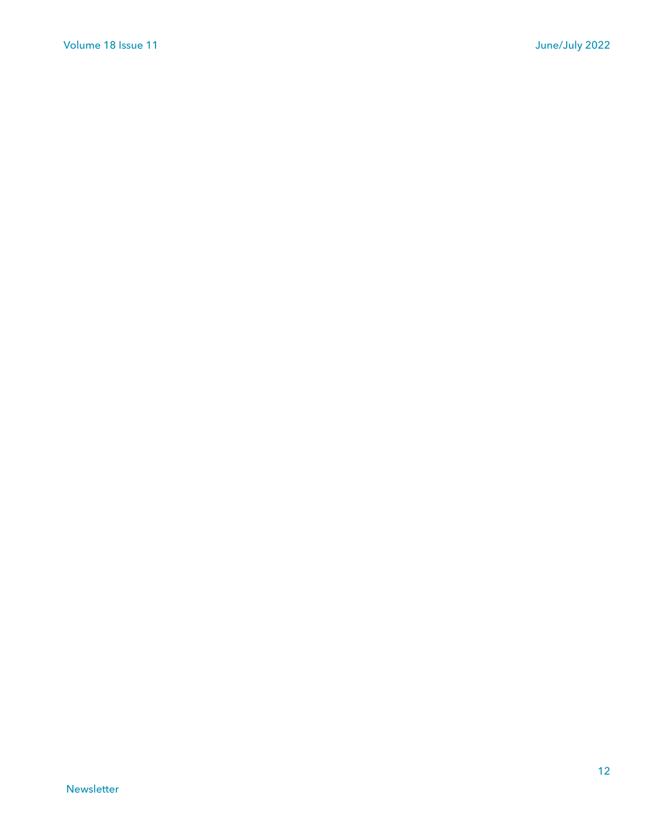Volume 18 Issue 11 June/July 2022